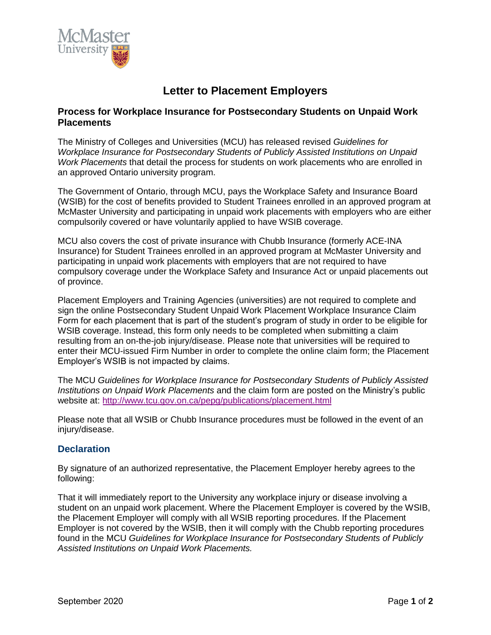

## **Letter to Placement Employers**

## **Process for Workplace Insurance for Postsecondary Students on Unpaid Work Placements**

The Ministry of Colleges and Universities (MCU) has released revised *Guidelines for Workplace Insurance for Postsecondary Students of Publicly Assisted Institutions on Unpaid Work Placements* that detail the process for students on work placements who are enrolled in an approved Ontario university program.

The Government of Ontario, through MCU, pays the Workplace Safety and Insurance Board (WSIB) for the cost of benefits provided to Student Trainees enrolled in an approved program at McMaster University and participating in unpaid work placements with employers who are either compulsorily covered or have voluntarily applied to have WSIB coverage.

MCU also covers the cost of private insurance with Chubb Insurance (formerly ACE-INA Insurance) for Student Trainees enrolled in an approved program at McMaster University and participating in unpaid work placements with employers that are not required to have compulsory coverage under the Workplace Safety and Insurance Act or unpaid placements out of province.

Placement Employers and Training Agencies (universities) are not required to complete and sign the online Postsecondary Student Unpaid Work Placement Workplace Insurance Claim Form for each placement that is part of the student's program of study in order to be eligible for WSIB coverage. Instead, this form only needs to be completed when submitting a claim resulting from an on-the-job injury/disease. Please note that universities will be required to enter their MCU-issued Firm Number in order to complete the online claim form; the Placement Employer's WSIB is not impacted by claims.

The MCU *Guidelines for Workplace Insurance for Postsecondary Students of Publicly Assisted Institutions on Unpaid Work Placements* and the claim form are posted on the Ministry's public website at:<http://www.tcu.gov.on.ca/pepg/publications/placement.html>

Please note that all WSIB or Chubb Insurance procedures must be followed in the event of an injury/disease.

## **Declaration**

By signature of an authorized representative, the Placement Employer hereby agrees to the following:

That it will immediately report to the University any workplace injury or disease involving a student on an unpaid work placement. Where the Placement Employer is covered by the WSIB, the Placement Employer will comply with all WSIB reporting procedures. If the Placement Employer is not covered by the WSIB, then it will comply with the Chubb reporting procedures found in the MCU *Guidelines for Workplace Insurance for Postsecondary Students of Publicly Assisted Institutions on Unpaid Work Placements.*